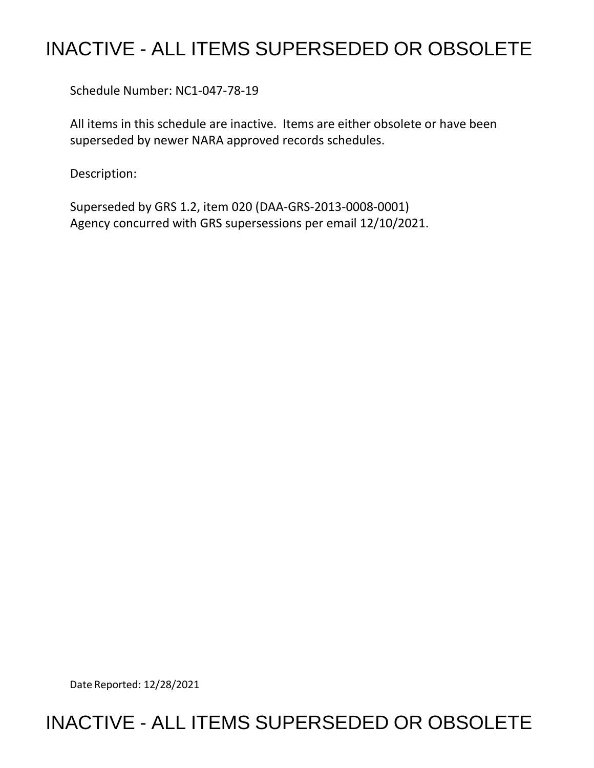## INACTIVE - ALL ITEMS SUPERSEDED OR OBSOLETE

Schedule Number: NC1-047-78-19

 All items in this schedule are inactive. Items are either obsolete or have been superseded by newer NARA approved records schedules.

Description:

 Superseded by GRS 1.2, item 020 (DAA-GRS-2013-0008-0001) Agency concurred with GRS supersessions per email 12/10/2021.

Date Reported: 12/28/2021

## INACTIVE - ALL ITEMS SUPERSEDED OR OBSOLETE